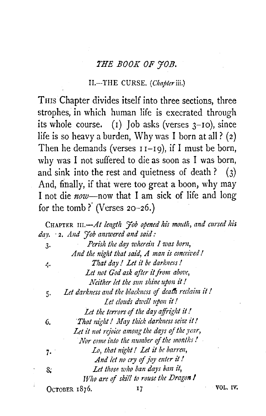# *1'HE BOOK OF YOB.*

#### <sup>I</sup>I.-THE CURSE. *(Chapter* iii.)

Tms Chapter divides itself into three sections, three strophes, in which human life is execrated through its whole course. (1) Job asks (verses  $3$ -10), since life is so heavy a burden, Why was I born at all ? (2) Then he demands (verses  $I_1-I_2$ ), if I must be born, why was I not suffered to die as soon as I was born, and sink into the rest and quietness of death ?  $(3)$ And, finally, if that were too great a boon, why may I not die *now-now* that I am sick of life and long for the tomb? (Verses  $20-26$ .)

CHAPTER *nr.-At lmgth Yob opened his mouth, and cursed his da\_y.* · 2. *And Yob answered and said:*  3. *Perish the day wherein I was born, And the night that said, A man is concei'ced* I *t,.. That day* I *Let* i't *be dark11ess* I *Let not God ask after it from above, Neither let the sun shine upon it!*  5· *Let darkness aud the blackness* of *deadt reclaim it* I *let clouds dwell upon it!*  Let the terrors of the day affright it! 6. *That 1liglti I May thick darkness seize it I*  Let it not rejoice among the days of the year, *Nor come into the number of the months!* 7. *Lo, that night! Let it be barren, And let* 110 *cry of joy mter* it *I*  S; *Let those 1oho ban days batt it, Who are* of *skill to rouse the Dragon I*  OCTOBER 1876. IT THE VOL. IV.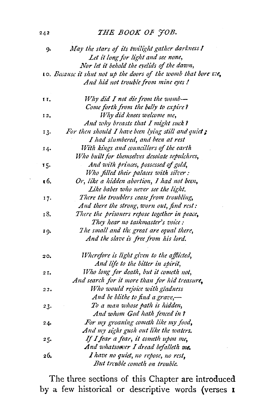## **THE BOOK OF JOB.**

| 9.  | May the stars of its twilight gather darkness !                |
|-----|----------------------------------------------------------------|
|     | Let it long for light and see none,                            |
|     | Nor let it behold the eyelids of the dawn,                     |
|     | 10. Because it shut not up the doors of the womb that bore we, |
|     | And hid not trouble from mine eyes !                           |
| ΙΙ. | Why did I not die from the womb-                               |
|     | Come forth from the belly to expire?                           |
| 12, | Why did knees welcome me,                                      |
|     | And why breasts that I might suck?                             |
| 13. | For then should I have been lying still and quiet;             |
|     | I had slumbered, and been at rest                              |
| 14. | With kings and councillors of the earth                        |
|     | Who built for themselves desolate sepulchres,                  |
| 15. | And with princes, possessed of gold,                           |
|     | Who filled their palaces with silver :                         |
| τ6. | Or, like a hidden abortion, I had not been,                    |
|     | Like babes who never see the light.                            |
| 17. | There the troublers cease from troubling,                      |
|     | And there the strong, worn out, find rest:                     |
| 18. | There the prisoners repose together in peace,                  |
|     | They hear no taskmaster's voice:                               |
| 19. | The small and the great are equal there,                       |
|     | And the slave is free from his lord.                           |
| 20. | Wherefore is light given to the afflicted,                     |
|     | And life to the bitter in spirit,                              |
| 21. | Who long for death, but it cometh not,                         |
|     | And search for it more than for hid treasure,                  |
| 22. | Who would rejoice with gladness                                |
|     | And be blithe to find a grave,-                                |
| 23. | To a man whose path is hidden,                                 |
|     | And whom God hath fenced in?                                   |
| 24. | For my groaning cometh like my food,                           |
|     | And my sighs gush out like the waters.                         |
| 25. | If I fear a fear, it cometh upon me,                           |
|     | And whatsoover I dread befalleth me.                           |
| 26. | I have no quiet, no repose, no rest,                           |
|     | But trcuble cometh on trouble.                                 |

The three sections of this Chapter are **introduced**  by a few historical or descriptive words (verses **1** 

242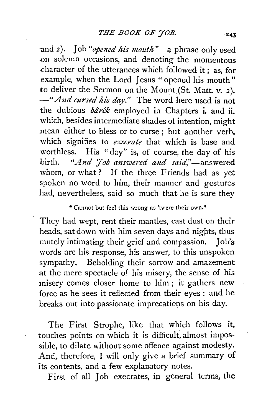and 2). Job "*opened his mouth*"—a phrase only used .on solemn occasions, and denoting the momentous -character of the utterances which followed it; as, for example, when the Lord Jesus " opened his mouth" to deliver the Sermon on the Mount (St. Matt. v. 2). *-"A1td cursed hi's day."* The word here used is not the dubious *bdrek* employed in Chapters i. and ii. which, besides intermediate shades of intention, might mean either to bless or to curse ; but another verb, which signifies to *execrate* that which is base and worthless. His "day" is, of course, the day of his birth. *"And 7ob answered and said*,"-answered whom, or what? If the three Friends had as yet spoken no word to him, their manner and gestures had, nevertheless, said so much that he is sure they

## "Cannot but feel this wrong as 'twere their own."

They had wept, rent their mantles, cast dust on their heads, sat down with him seven days and nights, thus mutely intimating their grief and compassion. Job's words are his response, his answer, to this unspoken sympathy. Beholding their sorrow and amazement at the mere spectacle of his misery, the sense of his misery comes closer home to him ; it gathers new force as he sees it reflected from their eyes : and he breaks out into passionate imprecations on his day.

The First Strophe, like that which follows it, touches points on which it is difficult, almost impossible, to dilate without some offence against modesty. And, therefore, I will only give a brief summary of its contents, and a few explanatory notes.

First of all Job execrates, in general terms, the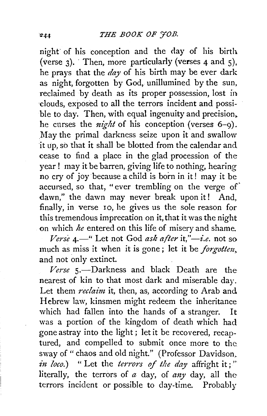night of his conception and the day of his birth (verse  $3$ ). Then, more particularly (verses 4 and  $5$ ). he prays that the *day* of his birth may be ever dark as night, forgotten by God, uniilumined by the sun, reclaimed by death as its proper possession, lost in ·clouds, exposed to all the terrors incident and possible to day. Then, with equal ingenuity and precision. he curses the *night* of his conception (verses 6-9). . May the primal darkness seize upon it and swallow it up, so that it shall be blotted from the calendar and cease to find a place in the glad procession of the year ! may it be barren, giving life to nothing, hearing no cry of joy because a child is born in it! may it be accursed, so that, " ever trembling on the verge of' dawn," the dawn may never break upon it! And, finally, in verse 10, he gives us the sole reason for this tremendous imprecation on it, that it was the night on which *he* entered on this life of misery and shame.

*Verse* 4.—" Let not God *ask after* it,"—*i.e.* not so much as miss it when it is gone ; let it be *forgottm,*  and not only extinct.

Verse 5.-Darkness and black Death are the nearest of kin to that most dark and miserable day. Let them *reclaim* it, then, as, according to Arab and. Hebrew law, kinsmen might redeem the inheritance which had fallen into the hands of a stranger. It was a portion of the kingdom of death which had gone astray into the light ; let it be recovered, recaptured, and compelled to submit once more to the. sway of " chaos and old night." (Professor Davidson, *in loco.*) " Let the *terrors of the day* affright it;" literally, the terrors of *a* day, of *any* day, all the terrors incident or possible to day-time. Probably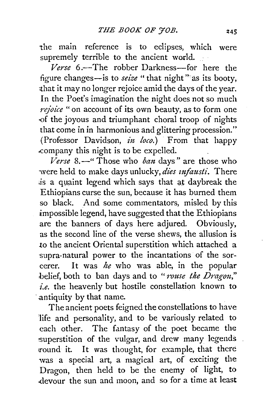the main reference is to eclipses, which were supremely terrible to the ancient world.

*Verse* 6 .-The robber Darkness-for here the figure changes-is to *seize* "that night" as its booty, that it may no longer rejoice amid the days of the year. In the Poet's imagination the night does not so much *rejoice* "on account of its own beauty, as to form one -of the joyous and triumphant choral troop of nights that come in in harmonious and glittering procession." (Professor Davidson, *in loco.*) From that happy .company this night is to be expelled.

*Verse* 8.-" Those who *bmt* days" are those who were held to make days unlucky, *dies infausti*. There is a quaint legend which says that at daybreak the Ethiopians curse the sun, because it has burned them so black. And some commentators, misled by this impossible legend, have suggested that the Ethiopians are the banners of days here adjured. Obviously, as the second line of the verse shews, the allusion is to the ancient Oriental superstition which attached a supra-natural power to the incantations of the sorcerer. It was *he* who was able, in the popular belief, both to ban days and to "*rouse the Dragon*," *i.e.* the heavenly but hostile constellation known to antiquity by that name.

The ancient poets feigned the constellations to have life and personality, and to be variously related to each other. The fantasy of the poet became the superstition of the vulgar, and drew many legends round it. It was thought, for example, that there was a special art, a magical art, of exciting the Dragon, then held to be the enemy of light, to .devour the sun and moon, and so for a time at least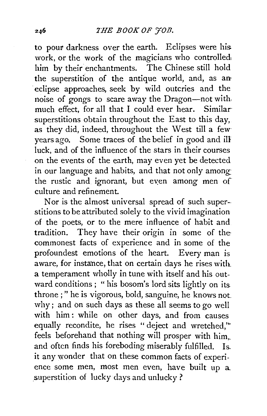to pour darkness over the earth. Eclipses were his work, or the work of the magicians who controlled, him by their enchantments. The Chinese still hold the superstition of the antique world, and, as an· eclipse approaches, seek by wild outcries and the noise of gongs to scare away the Dragon-not with, much effect, for all that I could ever hear. Similar superstitions obtain throughout the East to this day, as they did, indeed, throughout the West till a few· years ago. Some traces of the belief in good and ill luck, and of the influence of the stars in their courses on the events of the earth, may even yet be detected in our language and habits, and that not only among. the rustic and ignorant, but even among men of culture and refinement.

Nor is the almost universal spread of such super- stitions to be attributed solely to the vivid imagination of the poets, or to the mere influence of habit and tradition. They have their origin in some of the commonest facts of experience and in some of the profoundest emotions of the heart. Every man is aware, for instance, that on certain days he rises with. a temperament wholly in tune with itself and his outward conditions; "his bosom's lord sits lightly on its throne ; " he is vigorous, bold, sanguine, he knows not why; and on such days as these all seems to go well with him: while on other days, and from causes equally recondite, he rises "deject and wretched,'" feels beforehand that nothing will prosper with him,. and often finds his foreboding miserably fulfilled. Is. it any wonder that on these common facts of experience some men, most men even, have built up a superstition of lucky days and unlucky?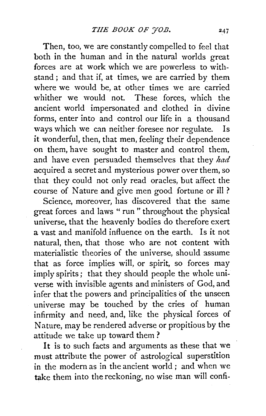Then, too, we are constantly compelled to feel that both in the human and in the natural worlds great forces are at work which we are powerless to withstand ; and that if, at times, we are carried by them where we would be, at other times we are carried whither we would not. These forces, which the ancient world impersonated and clothed in divine forms, enter into and control our life in a thousand ways which we can neither foresee nor regulate. Is it wonderful, then, that men, feeling their dependence on them, have sought to master and control them, and have even persuaded themselves that they *had*  acquired a secret and mysterious power over them, so that they could not only read oracles, but affect the course of Nature and give men good fortune or ill ?

Science, moreover, has discovered that the same great forces and laws " run " throughout the physical universe, that the heavenly bodies do therefore exert a vast and manifold influence on the earth. Is it not natural, then, that those who are not content with materialistic theories of the universe, should assume that as force implies will, or spirit, so forces may imply spirits; that they should people the whole universe with invisible agents and ministers of God, and infer that the powers and principalities of the unseen universe may be touched by the cries of human infirmity and need, and, like the physical forces of Nature, may be rendered adverse or propitious by the attitude we take up toward them ?

It is to such facts and arguments as these that we must attribute the power of astrological superstition in the modern as in the ancient world ; and when we take them into the reckoning, no wise man will confi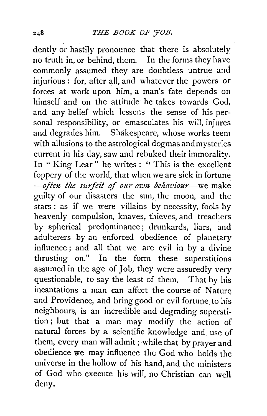dently or hastily pronounce that there is absolutely no truth in, or behind, them. In the forms they have commonly assumed they are doubtless untrue and injurious: for, after all, and whatever the powers or forces at work upon him, a man's fate depends on himself and on the attitude he takes towards God, and any belief which lessens the sense of his personal responsibility, or emasculates his will, injures and degrades him. Shakespeare, whose works teem with allusions to the astrological dogmas and mysteries current in his day, saw and rebuked their immorality. In " King Lear" he writes : "This is the excellent foppery of the world, that when we are sick in fortune -often the surfeit of our own behaviour--we make guilty of our disasters the sun, the moon, and the stars : as if we were villains by necessity, fools by heavenly compulsion, knaves, thieves, and treachers by spherical predominance ; drunkards, liars, and adulterers by an enforced obedience of planetary influence; and all that we are evil in by a divine thrusting on." In the form these superstitions assumed in the age of Job, they were assuredly very questionable, to say the least of them. That by his incantations a man can affect the course of Nature and Providence, and bring good or evil fortune to his neighbours, is an incredible and degrading superstition ; but that a man may modify the action of natural forces by a scientific knowledge and. use of them, every man will admit; while that by prayer and obedience we may influence the God who holds the universe in the hollow of his hand, and the ministers of God who execute his will, no Christian can well deny.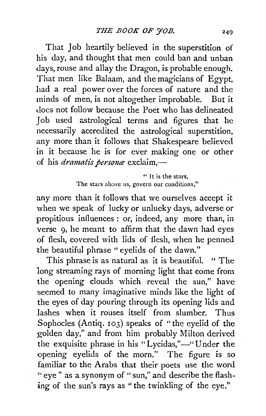That Job heartily believed in the superstition of his day, and thought that men could ban and unban days, rouse and allay the Dragon, is probable enough. That men like Balaam, and the magicians of Egypt, had a real power over the forces of nature and the minds of men, is not altogether improbable. But it does not follow because the Poet who has delineated Job used astrological terms and figures that he necessarily accredited the astrological superstition, any more than it follows that Shakespeare believed in it because he is for ever making one or other of his *dramatis persona* exclaim,-

> " It is the stars, The stars above us, govern our conditions,"

any more than it follows that we ourselves accept it when we speak of lucky or unlucky days, adverse or propitious influences : or, indeed, any more than, in verse 9, he meant to affirm that the dawn had eyes of flesh, covered with lids of flesh, when he penned the beautiful phrase "eyelids of the dawn."

This phrase is as natural as it is beautiful. " The long streaming rays of morning light that come from the opening clouds which reveal the sun," have seemed to many imaginative minds like the light of the eyes of day pouring through its opening lids and lashes when it rouses itself from slumber. Thus Sophocles (Antiq. 103) speaks of "the eyelid of the golden day,'' and from him probably Milton derived the exquisite phrase in his "Lycidas,"-" Under the -opening eyelids of the morn." The figure is so familiar to the Arabs that their poets use the word « eye " as a synonym of " sun," and describe the flashing of the sun's rays as "the twinkling of the eye."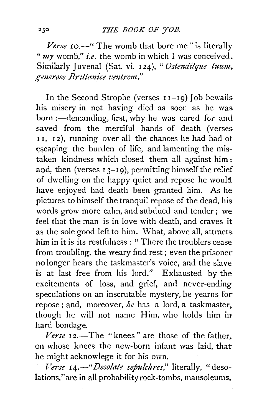## **THE BOOK OF JOB.**

*Verse* 10.<sup>1</sup> The womb that bore me" is literally *"my* womb," *i.e.* the womb in which I was conceived. Similarly Juvenal (Sat. vi. 124), "Ostenditque tuum, generose Brittanice ventrem."

In the Second Strophe (verses  $I1-I9$ ) Job bewails his misery in not having died as soon as he was. born :- demanding, first, why he was cared for and saved from the merciful hands of death (verses 11, 12), running over all the chances he had had of escaping the burden of life, and lamenting the mistaken kindness which closed them all against him : and, then (verses  $13-19$ ), permitting himself the relief of dwelling on the happy quiet and repose he would have enjoyed had death been granted him. As he pictures to himself the tranquil repose of the dead, his words grow more calm, and subdued and tender; we feel that the man is in love with death, and craves it as the sole good left to him. What, above all, attracts him in it is its restfulness : " There the troublers cease from troubling, the weary find rest ; even the prisoner no longer hears the taskmaster's voice, and the slave is at last free from his lord." Exhausted by the excitements of loss, and grief, and never-ending speculations on an inscrutable mystery, he yearns for repose ; and, moreover, *he* has a lord, a taskmaster, though he will not name Him, who holds him in hard bondage.

Verse 12.-The "knees" are those of the father, on whose knees the new-born infant was laid, that he might acknowlege it for his own.

*Verse I4.-"Desolate sepulchres,"* literally, "desolations,"are in all probability rock-tombs, mausoleums,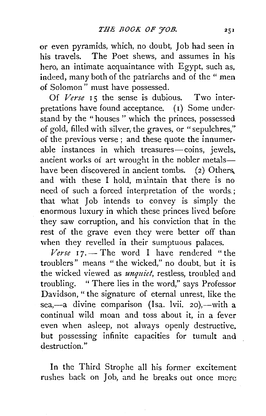or even pyramids, which, no doubt, Job had seen in his travels. The Poet shews, and assumes in his hero, an intimate acquaintance with Egypt, such as, indeed, many both of the patriarchs and of the " men of Solomon" must have possessed.

Of Verse 15 the sense is dubious. Two interpretations have found acceptance. (I) Some understand by the "houses" which the princes, possessed of gold, filled with silver, the graves, or "sepulchres," of the previous verse ; and these quote the innumerable instances in which treasures-coins, jewels, ancient works of art wrought in the nobler metalshave been discovered in ancient tombs.  $(2)$  Others. and with these I hold, maintain that there is no need of such a forced interpretation of the words,; that what Job intends to convey is simply the enormous luxury in which these princes lived before they saw corruption, and his conviction that in the rest of the grave even they were better off than when they revelled in their sumptuous palaces.

 $Verse$   $I7.$  The word I have rendered "the troublers" means " the wicked," no doubt, but it is the wicked viewed as *unquiet,* restless, troubled and troubling. " There lies in the word," says Professor Davidson, " the signature of eternal unrest, like the sea,-a divine comparison (Isa. lvii. 20),-with a continual wild moan and toss about it, in a fever even when asleep, not always openly destructive, but possessing infinite capacities for tumult and destruction."

In the Third Strophe all his former excitement rushes back on Job, and he breaks out once more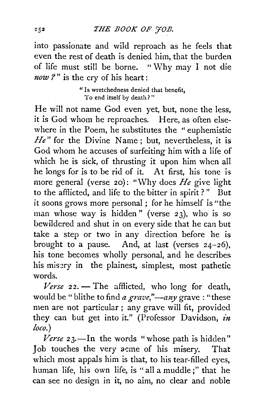into passionate and wild reproach as he feels that even the rest of death is denied him, that the burden of life must still be borne. " Why may I not die *now* ?" is the cry of his heart:

> "Is wretchedness denied that benefit, To end itself by death?"

He will not name God even yet, but, none the less, it is God whom he reproaches. Here, as often elsewhere in the Poem, he substitutes the "euphemistic *He*" for the Divine Name; but, nevertheless, it is God whom he accuses of surfeiting him with a life of which he is sick, of thrusting it upon him when all he longs for is to be rid of it. At first, his tone is more general (verse 20): "Why does *He* give light to the afflicted, and life to the bitter in spirit ? " But it soons grows more personal ; for he himself is "the man whose way is hidden" (verse 23), who is so bewildered and shut in on every side that he can but take a step or two in any direction before he is brought to a pause. And, at last (verses  $24-26$ ), his tone becomes wholly personal, and he describes his misery in the plainest, simplest, most pathetic words.

 $Verse$   $22.$  – The afflicted, who long for death, would be " blithe to find *a grave*,"-*any* grave : "these men are not particular ; any grave will fit, provided they can but get into it." (Professor Davidson, *in loco.)* 

Verse 23.-In the words "whose path is hidden" Job touches the very acme of his misery. That which most appals him is that, to his tear-filled eyes, human life, his own life, is "all a muddle;" that he can see no design in it, no aim, no clear and noble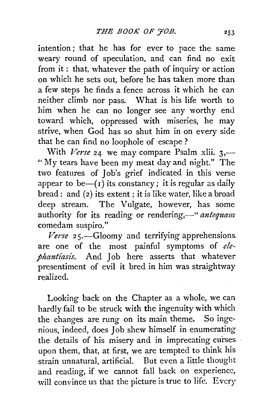intention; that he has for ever to pace the same weary round of speculation, and can find no exit from it : that, whatever the path of inquiry or action on which he sets out, before he has taken more than a few steps he finds a fence across it which he can neither climb nor pass. What is his life worth to him when he can no longer see any worthy end toward which, oppressed with miseries, he may strive, when God has so shut him in on every side that he can find no loophole of escape ?

With *Verse* 24 we may compare Psalm xlii. 3,— " My tears have been my meat day and night." The two features of Job's grief indicated in this verse appear to be- $(r)$  its constancy; it is regular as daily bread: and (2) its extent; it is like water, like a broad deep stream. The Vulgate, however, has some authority for its reading or rendering,—" *antequam* comedam suspiro."

*Verse* 25.-Gloomy and terrifying apprehensions are one of the most painful symptoms of *elephantiasis.* And Job here asserts that whatever presentiment of evil it bred in him was straightway realized.

Looking back on the Chapter as a whole, we can hardly fail to be struck with the ingenuity with which the changes are rung on its main theme. So ingenious, indeed, does Job shew himself in enumerating the details of his misery and in imprecating curses upon them, that, at first, we are tempted to think his strain unnatural, artificial. But even a little thought and reading, if we cannot fall back on experience, will convince us that the picture is true to life. Every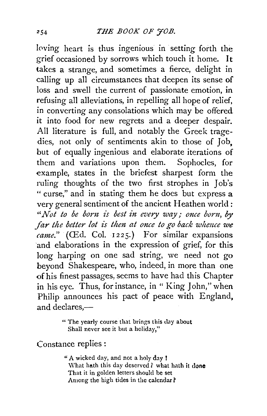loving heart is thus ingenious in setting forth the grief occasioned by sorrows which touch it home. It takes a strange, and sometimes a fierce, delight in calling up all circumstances that deepen its sense of loss and swell the current of passionate emotion, in refusing all alleviations, in repelling all hope of relief, in converting any consolations which may be offered it into food for new regrets and a deeper despair. All literature is full, and notably the Greek tragedies, not only of sentiments akin to those of Job, but of equally ingenious and elaborate iterations of them and variations upon them. Sophocles, for example, states in the briefest sharpest form the ruling thoughts of the two first strophes in Job's " curse," and in stating them he does but express a very general sentiment of the ancient Heathen world; *''Not to be born is best in every way,· once born,* by *far the better lot is then at once to go back whence we came.*" *(CEd. Col. 1225.)* For similar expansions 'and elaborations in the expression of grief, for this long harping on one sad string, we need not go beyond Shakespeare, who, indeed, in more than one of his finest passages, seems to have had this Chapter in his eye. Thus, for instance, in " King John," when Philip announces his pact of peace with England, and declares. $-$ 

> " The yearly course that brings this day about Shall never see it but a holiday,"

Constance replies :

"A wicked day, and not a holy day ! What hath this day deserved ? what hath it done That it in golden letters should be set Among the high tides in the calendar *l*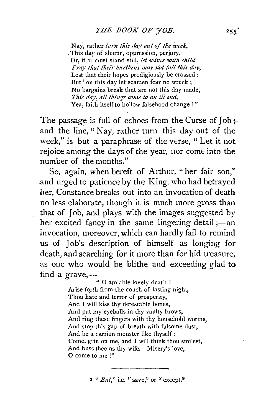Nay, rather *turn this day out of the week,*  This day of shame, oppression, perjury. Or, if it must stand still, *let wives with child Pray that their burthens may not fall this day,* Lest that their hopes prodigiously be crossed: But<sup>1</sup> on this day let seamen fear no wreck; No bargains break that are not this day made, This day, all things come to an ill end, Yea, faith itself to hollow falsehood change ! "

The passage is full of echoes from the Curse of Job  $\pm$ and the line, " Nay, rather turn this day out of the week," is but a paraphrase of the verse, " Let it not rejoice among the days of the year, nor come into the number of the months."

So, again, when bereft of Arthur, " her fair son," .and urged to patience by the King, who had betrayed her, Constance breaks out into an invocation of death no less elaborate, though it is much more gross than that of Job, and plays with the images suggested by her excited fancy in the same lingering detail ;- an invocation, moreover, which can hardly fail to remind us of Job's description of himself as longing for death, and searching for it more than for hid treasure, as one who would be blithe and exceeding glad to find a grave,-

" 0 amiable lovely death ! Arise forth from the couch of lasting night, Thou hate and terror of prosperity, And I will kiss thy detestable bones, And put my eyeballs in thy vaulty brows, And ring these fingers with thy household worms, And stop this gap of breath with fulsome dust, And be a carrion monster like thyself: Come, grin on me, and I will think thou smilcst, And buss thee as thy wife. Misery's love, 0 come to me!"

 $\mathbf{1} \text{ }``But,"$  i.e. "save," or "except."